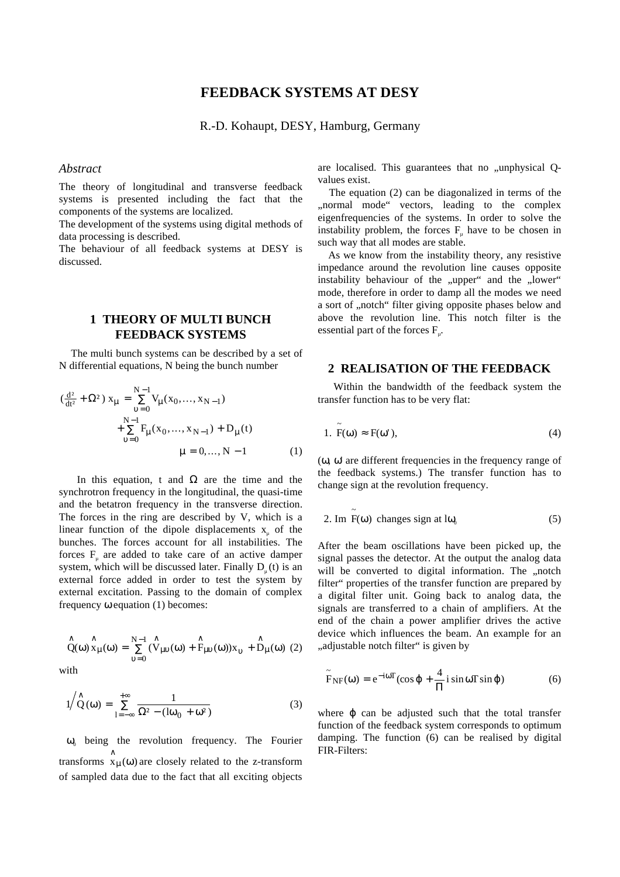# **FEEDBACK SYSTEMS AT DESY**

R.-D. Kohaupt, DESY, Hamburg, Germany

#### *Abstract*

The theory of longitudinal and transverse feedback systems is presented including the fact that the components of the systems are localized.

The development of the systems using digital methods of data processing is described.

The behaviour of all feedback systems at DESY is discussed.

## **1 THEORY OF MULTI BUNCH FEEDBACK SYSTEMS**

 The multi bunch systems can be described by a set of N differential equations, N being the bunch number

$$
(\frac{d^{2}}{dt^{2}} + \Omega^{2}) x_{\mu} = \sum_{v=0}^{N-1} V_{\mu}(x_{0},...,x_{N-1}) + \sum_{v=0}^{N-1} F_{\mu}(x_{0},...,x_{N-1}) + D_{\mu}(t) + D_{\mu}(t) + D_{\mu}(t) + D_{\mu}(t)
$$
  
\n
$$
\mu = 0,..., N-1
$$
 (1)

In this equation, t and  $\Omega$  are the time and the synchrotron frequency in the longitudinal, the quasi-time and the betatron frequency in the transverse direction. The forces in the ring are described by V, which is a linear function of the dipole displacements  $x<sub>u</sub>$  of the bunches. The forces account for all instabilities. The forces  $F_{\mu}$  are added to take care of an active damper system, which will be discussed later. Finally  $D_{n}(t)$  is an external force added in order to test the system by external excitation. Passing to the domain of complex frequency ω equation (1) becomes:

$$
\overset{\wedge}{Q}(\omega)\overset{\wedge}{x}_{\mu}(\omega) = \overset{N-1}{\underset{\upsilon=0}{\sum}} \overset{\wedge}{(V_{\mu\upsilon}(\omega) + \overset{\wedge}{F_{\mu\upsilon}(\omega)})}x_{\upsilon} + \overset{\wedge}{D}_{\mu}(\omega) (2)
$$

with

$$
1/\stackrel{\wedge}{Q}(\omega) = \sum_{l=-\infty}^{+\infty} \frac{1}{\Omega^2 - (l\omega_0 + \omega^2)}
$$
(3)

 $\omega_0$  being the revolution frequency. The Fourier transforms  $\hat{x}_{\mu}(\omega)$  are closely related to the z-transform of sampled data due to the fact that all exciting objects are localised. This guarantees that no "unphysical Qvalues exist.

 The equation (2) can be diagonalized in terms of the "normal mode" vectors, leading to the complex eigenfrequencies of the systems. In order to solve the instability problem, the forces  $F_{\mu}$  have to be chosen in such way that all modes are stable.

 As we know from the instability theory, any resistive impedance around the revolution line causes opposite instability behaviour of the "upper" and the "lower" mode, therefore in order to damp all the modes we need a sort of "notch" filter giving opposite phases below and above the revolution line. This notch filter is the essential part of the forces  $F_{\mu}$ .

#### **2 REALISATION OF THE FEEDBACK**

 Within the bandwidth of the feedback system the transfer function has to be very flat:

1. 
$$
\tilde{F}(\omega) \approx F(\omega'),
$$
 (4)

(ω, ω' are different frequencies in the frequency range of the feedback systems.) The transfer function has to change sign at the revolution frequency.

2. Im 
$$
\tilde{F}(\omega)
$$
 changes sign at  $l\omega_0$  (5)

After the beam oscillations have been picked up, the signal passes the detector. At the output the analog data will be converted to digital information. The "notch filter" properties of the transfer function are prepared by a digital filter unit. Going back to analog data, the signals are transferred to a chain of amplifiers. At the end of the chain a power amplifier drives the active device which influences the beam. An example for an ... adjustable notch filter " is given by

$$
\tilde{F}_{NF}(\omega) = e^{-i\omega T} (\cos \varphi + \frac{4}{\Pi} i \sin \omega T \sin \varphi)
$$
 (6)

where φ can be adjusted such that the total transfer function of the feedback system corresponds to optimum damping. The function (6) can be realised by digital FIR-Filters: